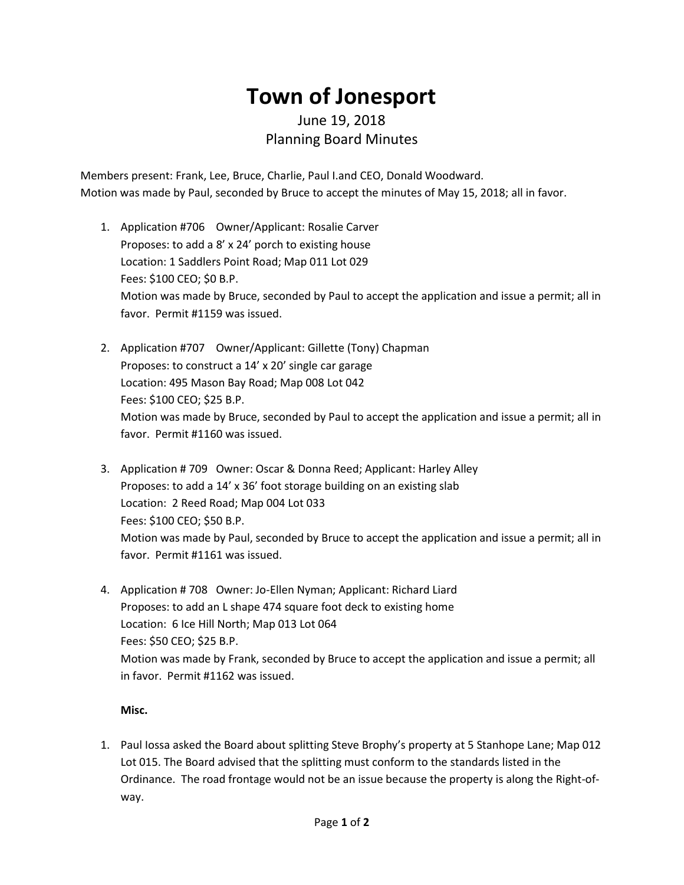## **Town of Jonesport**

## June 19, 2018 Planning Board Minutes

Members present: Frank, Lee, Bruce, Charlie, Paul I.and CEO, Donald Woodward. Motion was made by Paul, seconded by Bruce to accept the minutes of May 15, 2018; all in favor.

- 1. Application #706 Owner/Applicant: Rosalie Carver Proposes: to add a 8' x 24' porch to existing house Location: 1 Saddlers Point Road; Map 011 Lot 029 Fees: \$100 CEO; \$0 B.P. Motion was made by Bruce, seconded by Paul to accept the application and issue a permit; all in favor. Permit #1159 was issued.
- 2. Application #707 Owner/Applicant: Gillette (Tony) Chapman Proposes: to construct a 14' x 20' single car garage Location: 495 Mason Bay Road; Map 008 Lot 042 Fees: \$100 CEO; \$25 B.P. Motion was made by Bruce, seconded by Paul to accept the application and issue a permit; all in favor. Permit #1160 was issued.
- 3. Application # 709 Owner: Oscar & Donna Reed; Applicant: Harley Alley Proposes: to add a 14' x 36' foot storage building on an existing slab Location: 2 Reed Road; Map 004 Lot 033 Fees: \$100 CEO; \$50 B.P. Motion was made by Paul, seconded by Bruce to accept the application and issue a permit; all in favor. Permit #1161 was issued.
- 4. Application # 708 Owner: Jo-Ellen Nyman; Applicant: Richard Liard Proposes: to add an L shape 474 square foot deck to existing home Location: 6 Ice Hill North; Map 013 Lot 064 Fees: \$50 CEO; \$25 B.P. Motion was made by Frank, seconded by Bruce to accept the application and issue a permit; all in favor. Permit #1162 was issued.

## **Misc.**

1. Paul Iossa asked the Board about splitting Steve Brophy's property at 5 Stanhope Lane; Map 012 Lot 015. The Board advised that the splitting must conform to the standards listed in the Ordinance. The road frontage would not be an issue because the property is along the Right-ofway.